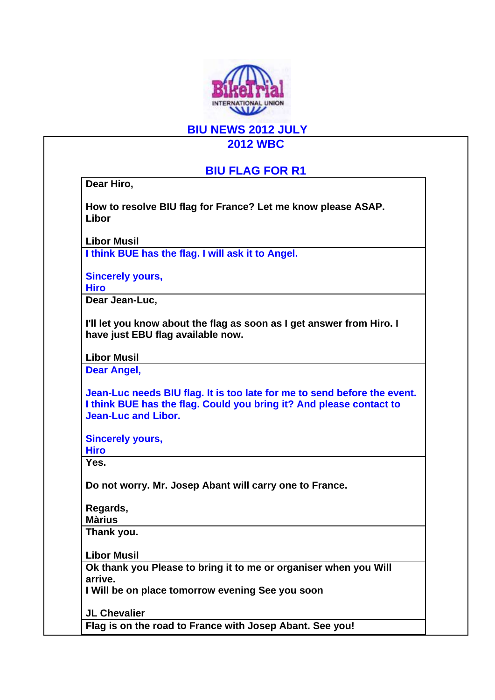

**BIU NEWS 2012 JULY** 

**2012 WBC** 

## **BIU FLAG FOR R1**

**Dear Hiro,** 

**How to resolve BIU flag for France? Let me know please ASAP. Libor** 

**Libor Musil I think BUE has the flag. I will ask it to Angel.** 

**Sincerely yours, Hiro** 

**Dear Jean-Luc,** 

**I'll let you know about the flag as soon as I get answer from Hiro. I have just EBU flag available now.** 

**Libor Musil** 

**Dear Angel,** 

**Jean-Luc needs BIU flag. It is too late for me to send before the event. I think BUE has the flag. Could you bring it? And please contact to Jean-Luc and Libor.** 

**Sincerely yours,** 

**Hiro** 

**Yes.** 

**Do not worry. Mr. Josep Abant will carry one to France.** 

**Regards, Màrius** 

**Thank you.** 

**Libor Musil** 

**Ok thank you Please to bring it to me or organiser when you Will arrive.** 

**I Will be on place tomorrow evening See you soon** 

**JL Chevalier** 

**Flag is on the road to France with Josep Abant. See you!**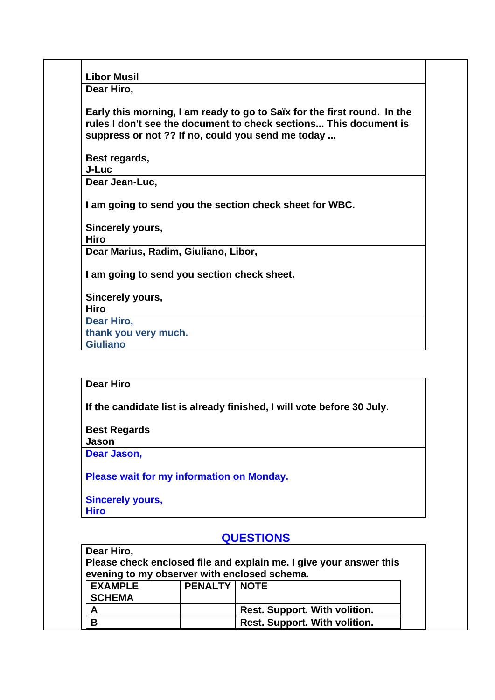**Libor Musil** 

**Dear Hiro,** 

**Early this morning, I am ready to go to Saïx for the first round. In the rules I don't see the document to check sections... This document is suppress or not ?? If no, could you send me today ...** 

**Best regards,** 

**J-Luc** 

**Dear Jean-Luc,** 

**I am going to send you the section check sheet for WBC.** 

**Sincerely yours,** 

**Hiro** 

**Dear Marius, Radim, Giuliano, Libor,** 

**I am going to send you section check sheet.** 

**Sincerely yours, Hiro Dear Hiro, thank you very much. Giuliano** 

## **Dear Hiro**

**If the candidate list is already finished, I will vote before 30 July.** 

**Best Regards** 

**Jason** 

**Dear Jason,** 

**Please wait for my information on Monday.** 

## **Sincerely yours,**

**Hiro** 

## **QUESTIONS**

**Dear Hiro, Please check enclosed file and explain me. I give your answer this evening to my observer with enclosed schema.** 

| <b>II EXAMPLE</b><br><b>SCHEMA</b> | <b>PENALTY   NOTE</b> |                                      |
|------------------------------------|-----------------------|--------------------------------------|
|                                    |                       | Rest. Support. With volition.        |
|                                    |                       | <b>Rest. Support. With volition.</b> |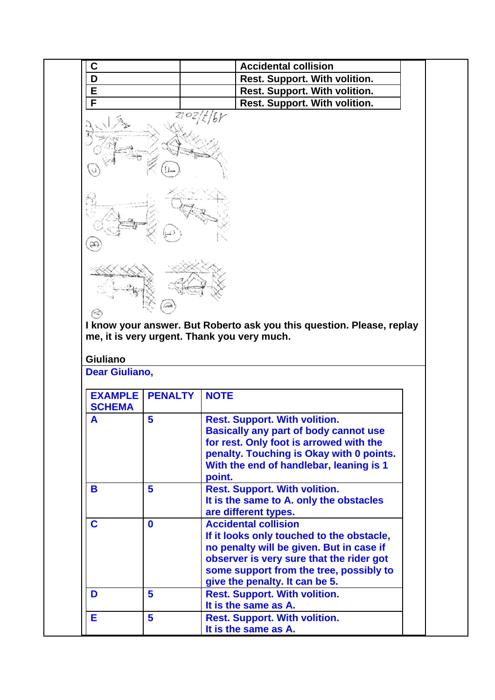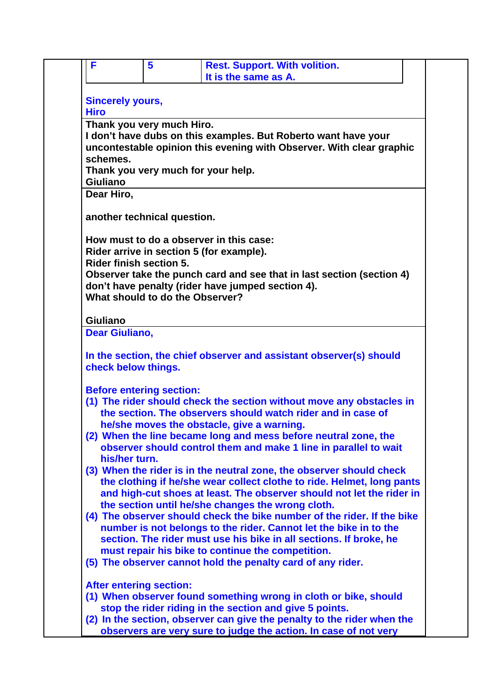| <b>Sincerely yours,</b>                                           |                                                                                                                                                                                                                                                                         |
|-------------------------------------------------------------------|-------------------------------------------------------------------------------------------------------------------------------------------------------------------------------------------------------------------------------------------------------------------------|
| <b>Hiro</b>                                                       |                                                                                                                                                                                                                                                                         |
| Thank you very much Hiro.                                         |                                                                                                                                                                                                                                                                         |
| schemes.                                                          | I don't have dubs on this examples. But Roberto want have your<br>uncontestable opinion this evening with Observer. With clear graphic                                                                                                                                  |
|                                                                   | Thank you very much for your help.                                                                                                                                                                                                                                      |
| <b>Giuliano</b>                                                   |                                                                                                                                                                                                                                                                         |
| Dear Hiro,                                                        |                                                                                                                                                                                                                                                                         |
| another technical question.                                       |                                                                                                                                                                                                                                                                         |
|                                                                   | How must to do a observer in this case:                                                                                                                                                                                                                                 |
|                                                                   | Rider arrive in section 5 (for example).                                                                                                                                                                                                                                |
| <b>Rider finish section 5.</b><br>What should to do the Observer? | Observer take the punch card and see that in last section (section 4)<br>don't have penalty (rider have jumped section 4).                                                                                                                                              |
|                                                                   |                                                                                                                                                                                                                                                                         |
| <b>Giuliano</b>                                                   |                                                                                                                                                                                                                                                                         |
| <b>Dear Giuliano,</b>                                             |                                                                                                                                                                                                                                                                         |
| check below things.                                               | In the section, the chief observer and assistant observer(s) should                                                                                                                                                                                                     |
|                                                                   |                                                                                                                                                                                                                                                                         |
| <b>Before entering section:</b>                                   | (1) The rider should check the section without move any obstacles in<br>the section. The observers should watch rider and in case of                                                                                                                                    |
|                                                                   | he/she moves the obstacle, give a warning.<br>(2) When the line became long and mess before neutral zone, the<br>observer should control them and make 1 line in parallel to wait                                                                                       |
| his/her turn.                                                     | (3) When the rider is in the neutral zone, the observer should check<br>the clothing if he/she wear collect clothe to ride. Helmet, long pants<br>and high-cut shoes at least. The observer should not let the rider in                                                 |
|                                                                   | the section until he/she changes the wrong cloth.<br>(4) The observer should check the bike number of the rider. If the bike<br>number is not belongs to the rider. Cannot let the bike in to the<br>section. The rider must use his bike in all sections. If broke, he |
|                                                                   | must repair his bike to continue the competition.<br>(5) The observer cannot hold the penalty card of any rider.                                                                                                                                                        |
| <b>After entering section:</b>                                    |                                                                                                                                                                                                                                                                         |